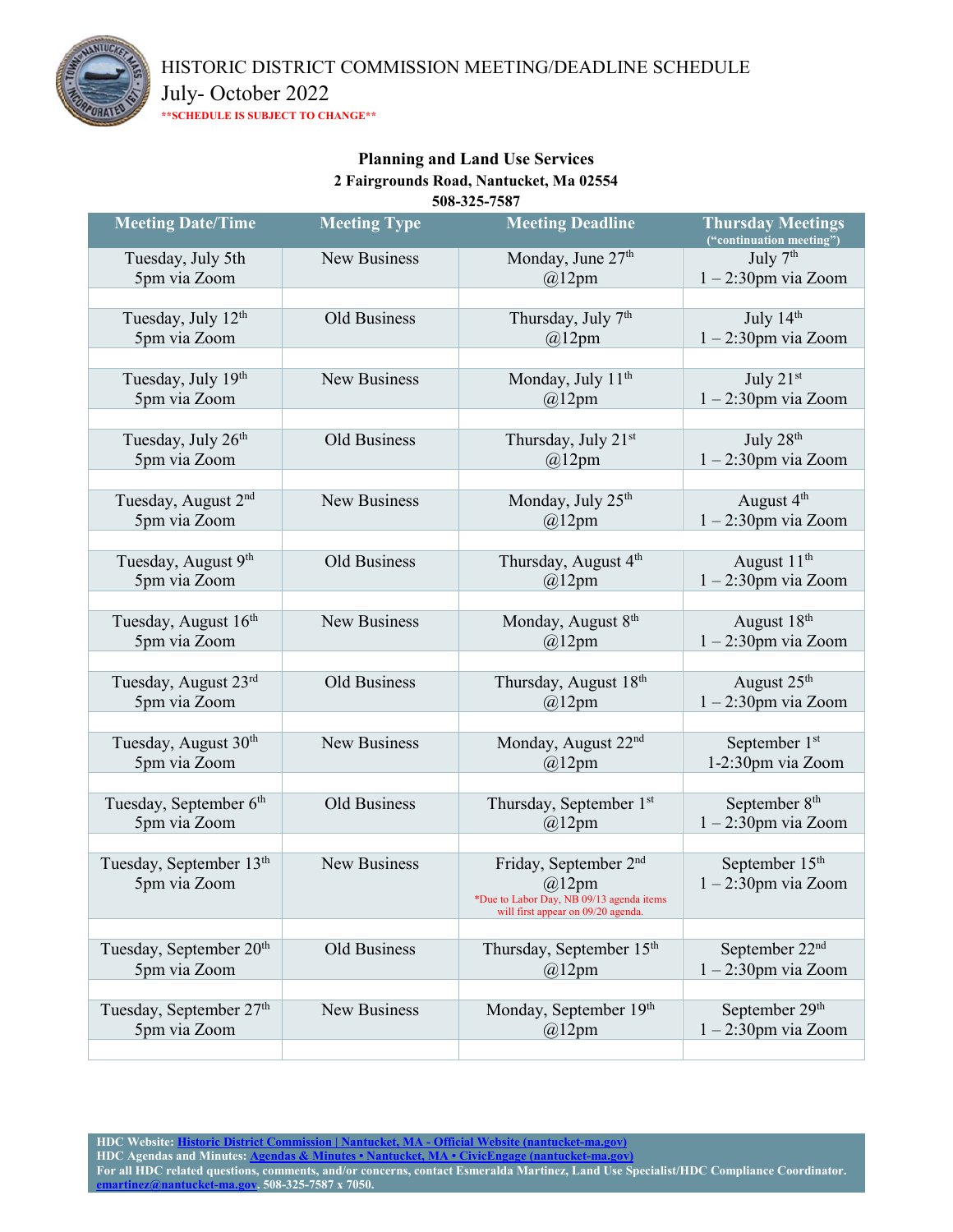

HISTORIC DISTRICT COMMISSION MEETING/DEADLINE SCHEDULE

July- October 2022

**\*\*SCHEDULE IS SUBJECT TO CHANGE\*\***

#### **Planning and Land Use Services 2 Fairgrounds Road, Nantucket, Ma 02554 508-325-7587**

| <b>Meeting Date/Time</b>                        | <b>Meeting Type</b> | <b>Meeting Deadline</b>                                                          | <b>Thursday Meetings</b><br>("continuation meeting") |
|-------------------------------------------------|---------------------|----------------------------------------------------------------------------------|------------------------------------------------------|
| Tuesday, July 5th                               | New Business        | Monday, June 27th                                                                | July 7th                                             |
| 5pm via Zoom                                    |                     | $@12$ pm                                                                         | $1 - 2:30$ pm via Zoom                               |
|                                                 |                     |                                                                                  |                                                      |
| Tuesday, July 12 <sup>th</sup>                  | Old Business        | Thursday, July 7 <sup>th</sup>                                                   | July 14th                                            |
| 5pm via Zoom                                    |                     | $@12$ pm                                                                         | $1 - 2:30$ pm via Zoom                               |
| Tuesday, July 19th                              | New Business        | Monday, July 11 <sup>th</sup>                                                    | July 21st                                            |
| 5pm via Zoom                                    |                     | $@12$ pm                                                                         | $1 - 2:30$ pm via Zoom                               |
|                                                 |                     |                                                                                  |                                                      |
| Tuesday, July 26th                              | <b>Old Business</b> | Thursday, July 21st                                                              | July 28 <sup>th</sup>                                |
| 5pm via Zoom                                    |                     | $@12$ pm                                                                         | $1 - 2:30$ pm via Zoom                               |
|                                                 |                     |                                                                                  |                                                      |
| Tuesday, August 2 <sup>nd</sup>                 | New Business        | Monday, July 25 <sup>th</sup>                                                    | August 4 <sup>th</sup>                               |
| 5pm via Zoom                                    |                     | $@12$ pm                                                                         | $1 - 2:30$ pm via Zoom                               |
|                                                 |                     |                                                                                  |                                                      |
| Tuesday, August 9 <sup>th</sup><br>5pm via Zoom | <b>Old Business</b> | Thursday, August 4 <sup>th</sup>                                                 | August 11 <sup>th</sup>                              |
|                                                 |                     | $@12$ pm                                                                         | $1 - 2:30$ pm via Zoom                               |
| Tuesday, August 16th                            | New Business        | Monday, August 8th                                                               | August 18th                                          |
| 5pm via Zoom                                    |                     | $@12$ pm                                                                         | $1 - 2:30$ pm via Zoom                               |
|                                                 |                     |                                                                                  |                                                      |
| Tuesday, August 23rd                            | Old Business        | Thursday, August 18th                                                            | August 25 <sup>th</sup>                              |
| 5pm via Zoom                                    |                     | $@12$ pm                                                                         | $1 - 2:30$ pm via Zoom                               |
|                                                 |                     |                                                                                  |                                                      |
| Tuesday, August 30 <sup>th</sup>                | <b>New Business</b> | Monday, August 22 <sup>nd</sup>                                                  | September 1st                                        |
| 5pm via Zoom                                    |                     | $@12$ pm                                                                         | 1-2:30pm via Zoom                                    |
| Tuesday, September 6 <sup>th</sup>              | Old Business        | Thursday, September 1st                                                          | September 8 <sup>th</sup>                            |
| 5pm via Zoom                                    |                     | $@12$ pm                                                                         | $1 - 2:30$ pm via Zoom                               |
|                                                 |                     |                                                                                  |                                                      |
| Tuesday, September 13th                         | <b>New Business</b> | Friday, September 2 <sup>nd</sup>                                                | September 15 <sup>th</sup>                           |
| 5pm via Zoom                                    |                     | $@12$ pm                                                                         | $1 - 2:30$ pm via Zoom                               |
|                                                 |                     | *Due to Labor Day, NB $09/13$ agenda items<br>will first appear on 09/20 agenda. |                                                      |
|                                                 |                     |                                                                                  |                                                      |
| Tuesday, September 20 <sup>th</sup>             | Old Business        | Thursday, September 15th                                                         | September 22 <sup>nd</sup>                           |
| 5pm via Zoom                                    |                     | $@12$ pm                                                                         | $1 - 2:30$ pm via Zoom                               |
|                                                 |                     |                                                                                  |                                                      |
| Tuesday, September 27th                         | New Business        | Monday, September 19th                                                           | September 29 <sup>th</sup>                           |
| 5pm via Zoom                                    |                     | $@12$ pm                                                                         | $1 - 2:30$ pm via Zoom                               |
|                                                 |                     |                                                                                  |                                                      |

**HDC Website: [Historic District Commission | Nantucket, MA -](https://www.nantucket-ma.gov/283/Historic-District-Commission) Official Website (nantucket-ma.gov) HDC Agendas and Minutes[: Agendas & Minutes • Nantucket, MA • CivicEngage \(nantucket-ma.gov\)](https://www.nantucket-ma.gov/AgendaCenter/Historic-District-Commission-45) For all HDC related questions, comments, and/or concerns, contact Esmeralda Martinez, Land Use Specialist/HDC Compliance Coordinator. [emartinez@nantucket-ma.gov.](mailto:emartinez@nantucket-ma.gov) 508-325-7587 x 7050.**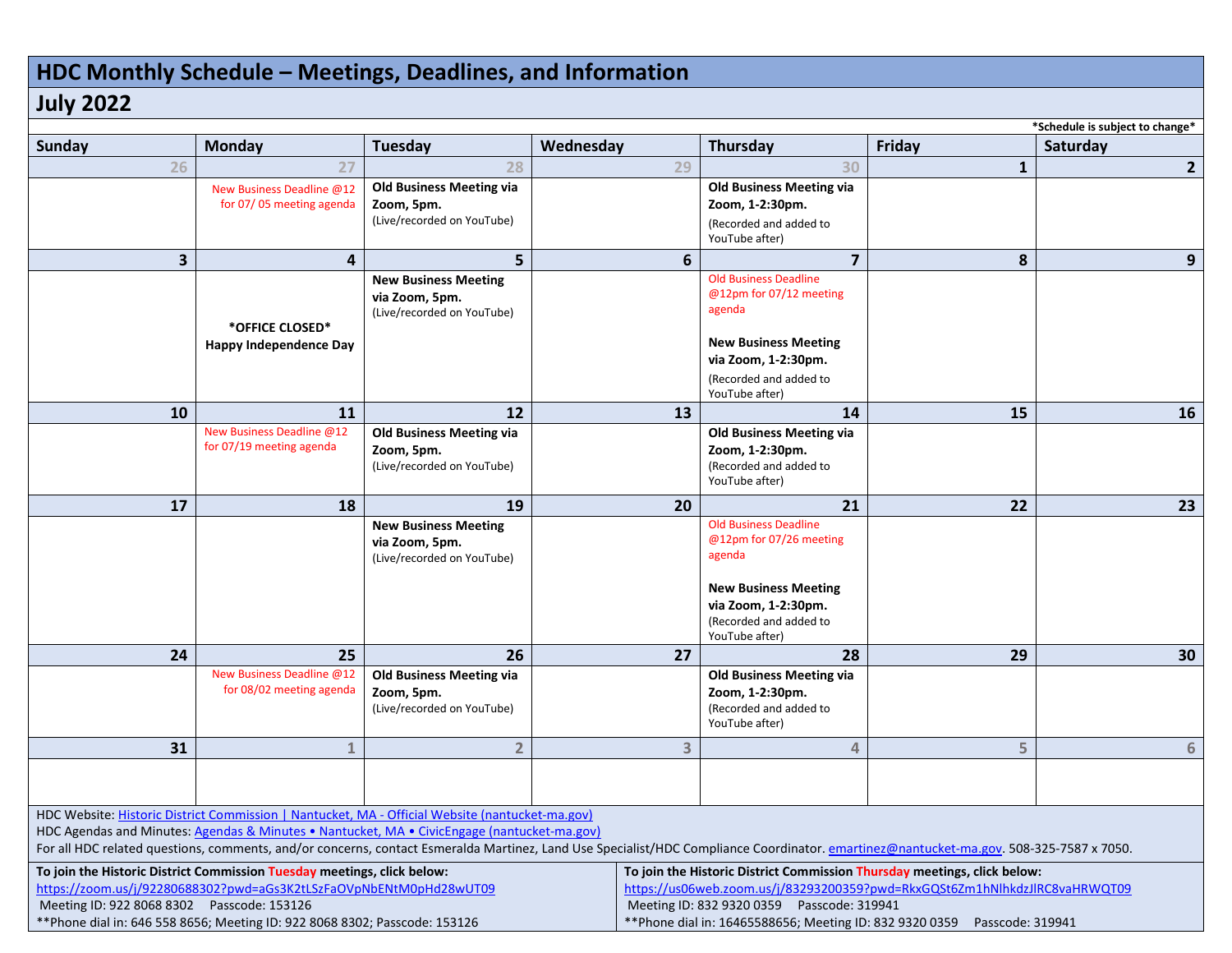# **HDC Monthly Schedule – Meetings, Deadlines, and Information**

## **July 2022**

| *Schedule is subject to change*                                                                                                                                                        |                                 |                                               |           |                                                                                                                             |              |                |  |
|----------------------------------------------------------------------------------------------------------------------------------------------------------------------------------------|---------------------------------|-----------------------------------------------|-----------|-----------------------------------------------------------------------------------------------------------------------------|--------------|----------------|--|
| Sunday                                                                                                                                                                                 | Monday                          | <b>Tuesday</b>                                | Wednesday | Thursday                                                                                                                    | Friday       | Saturday       |  |
| 26                                                                                                                                                                                     | 27                              | 28                                            | 29        | 30                                                                                                                          | $\mathbf{1}$ | $\overline{2}$ |  |
|                                                                                                                                                                                        | New Business Deadline @12       | <b>Old Business Meeting via</b>               |           | <b>Old Business Meeting via</b>                                                                                             |              |                |  |
|                                                                                                                                                                                        | for 07/05 meeting agenda        | Zoom, 5pm.                                    |           | Zoom, 1-2:30pm.                                                                                                             |              |                |  |
|                                                                                                                                                                                        |                                 | (Live/recorded on YouTube)                    |           | (Recorded and added to<br>YouTube after)                                                                                    |              |                |  |
| 3                                                                                                                                                                                      | $\overline{\mathbf{4}}$         | 5                                             | 6         | $\overline{7}$                                                                                                              | 8            | 9              |  |
|                                                                                                                                                                                        |                                 | <b>New Business Meeting</b>                   |           | <b>Old Business Deadline</b>                                                                                                |              |                |  |
|                                                                                                                                                                                        |                                 | via Zoom, 5pm.                                |           | @12pm for 07/12 meeting                                                                                                     |              |                |  |
|                                                                                                                                                                                        |                                 | (Live/recorded on YouTube)                    |           | agenda                                                                                                                      |              |                |  |
|                                                                                                                                                                                        | *OFFICE CLOSED*                 |                                               |           |                                                                                                                             |              |                |  |
|                                                                                                                                                                                        | Happy Independence Day          |                                               |           | <b>New Business Meeting</b><br>via Zoom, 1-2:30pm.                                                                          |              |                |  |
|                                                                                                                                                                                        |                                 |                                               |           | (Recorded and added to                                                                                                      |              |                |  |
|                                                                                                                                                                                        |                                 |                                               |           | YouTube after)                                                                                                              |              |                |  |
| 10                                                                                                                                                                                     | 11                              | 12                                            | 13        | 14                                                                                                                          | 15           | 16             |  |
|                                                                                                                                                                                        | New Business Deadline @12       | <b>Old Business Meeting via</b>               |           | <b>Old Business Meeting via</b>                                                                                             |              |                |  |
|                                                                                                                                                                                        | for 07/19 meeting agenda        | Zoom, 5pm.                                    |           | Zoom, 1-2:30pm.<br>(Recorded and added to                                                                                   |              |                |  |
|                                                                                                                                                                                        |                                 | (Live/recorded on YouTube)                    |           | YouTube after)                                                                                                              |              |                |  |
| 17                                                                                                                                                                                     | 18                              | 19                                            | 20        | 21                                                                                                                          | 22           | 23             |  |
|                                                                                                                                                                                        |                                 | <b>New Business Meeting</b>                   |           | <b>Old Business Deadline</b>                                                                                                |              |                |  |
|                                                                                                                                                                                        |                                 | via Zoom, 5pm.                                |           | @12pm for 07/26 meeting                                                                                                     |              |                |  |
|                                                                                                                                                                                        |                                 | (Live/recorded on YouTube)                    |           | agenda                                                                                                                      |              |                |  |
|                                                                                                                                                                                        |                                 |                                               |           | <b>New Business Meeting</b>                                                                                                 |              |                |  |
|                                                                                                                                                                                        |                                 |                                               |           | via Zoom, 1-2:30pm.                                                                                                         |              |                |  |
|                                                                                                                                                                                        |                                 |                                               |           | (Recorded and added to                                                                                                      |              |                |  |
|                                                                                                                                                                                        |                                 |                                               |           | YouTube after)                                                                                                              |              |                |  |
| 24                                                                                                                                                                                     | 25<br>New Business Deadline @12 | 26                                            | 27        | 28                                                                                                                          | 29           | 30             |  |
|                                                                                                                                                                                        | for 08/02 meeting agenda        | <b>Old Business Meeting via</b><br>Zoom, 5pm. |           | <b>Old Business Meeting via</b><br>Zoom, 1-2:30pm.                                                                          |              |                |  |
|                                                                                                                                                                                        |                                 | (Live/recorded on YouTube)                    |           | (Recorded and added to                                                                                                      |              |                |  |
|                                                                                                                                                                                        |                                 |                                               |           | YouTube after)                                                                                                              |              |                |  |
| 31                                                                                                                                                                                     | $\mathbf{1}$                    | $\overline{2}$                                | 3         | 4                                                                                                                           | 5            | 6              |  |
|                                                                                                                                                                                        |                                 |                                               |           |                                                                                                                             |              |                |  |
|                                                                                                                                                                                        |                                 |                                               |           |                                                                                                                             |              |                |  |
| HDC Website: Historic District Commission   Nantucket, MA - Official Website (nantucket-ma.gov)                                                                                        |                                 |                                               |           |                                                                                                                             |              |                |  |
| HDC Agendas and Minutes: Agendas & Minutes • Nantucket, MA • CivicEngage (nantucket-ma.gov)                                                                                            |                                 |                                               |           |                                                                                                                             |              |                |  |
| For all HDC related questions, comments, and/or concerns, contact Esmeralda Martinez, Land Use Specialist/HDC Compliance Coordinator. emartinez@nantucket-ma.gov. 508-325-7587 x 7050. |                                 |                                               |           |                                                                                                                             |              |                |  |
| To join the Historic District Commission Tuesday meetings, click below:                                                                                                                |                                 |                                               |           | To join the Historic District Commission Thursday meetings, click below:                                                    |              |                |  |
| https://zoom.us/j/92280688302?pwd=aGs3K2tLSzFaOVpNbENtM0pHd28wUT09<br>Meeting ID: 922 8068 8302  Passcode: 153126                                                                      |                                 |                                               |           | https://us06web.zoom.us/j/83293200359?pwd=RkxGQSt6Zm1hNlhkdzJlRC8vaHRWQT09                                                  |              |                |  |
| **Phone dial in: 646 558 8656; Meeting ID: 922 8068 8302; Passcode: 153126                                                                                                             |                                 |                                               |           | Meeting ID: 832 9320 0359    Passcode: 319941<br>**Phone dial in: 16465588656; Meeting ID: 832 9320 0359   Passcode: 319941 |              |                |  |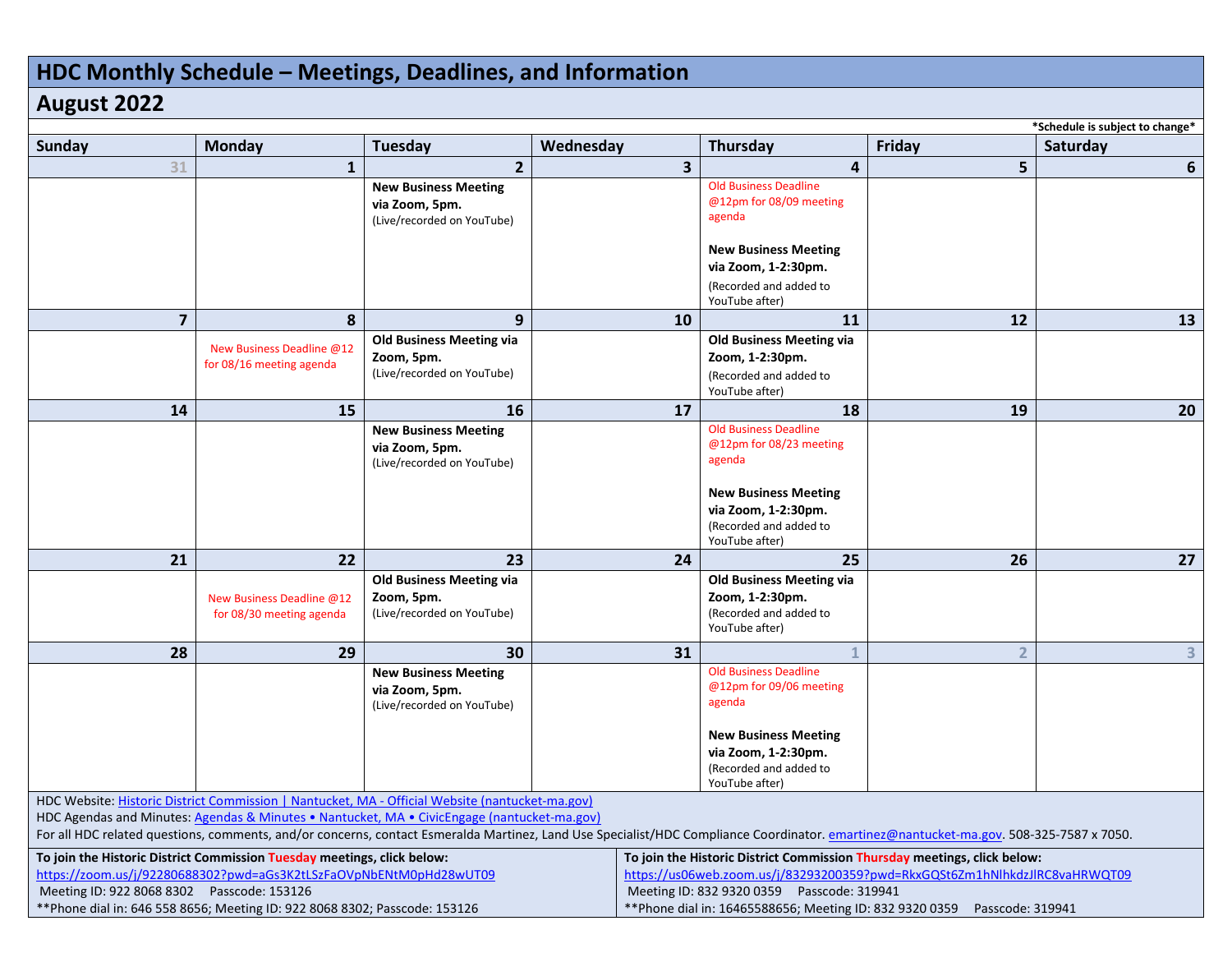# **HDC Monthly Schedule – Meetings, Deadlines, and Information**

### **August 2022**

| *Schedule is subject to change*                                                                                                                                                                                                                                                                                                                                                          |                                                       |                                                                             |                         |                                                                                                                                                                                                                                                                                       |                |                |
|------------------------------------------------------------------------------------------------------------------------------------------------------------------------------------------------------------------------------------------------------------------------------------------------------------------------------------------------------------------------------------------|-------------------------------------------------------|-----------------------------------------------------------------------------|-------------------------|---------------------------------------------------------------------------------------------------------------------------------------------------------------------------------------------------------------------------------------------------------------------------------------|----------------|----------------|
| <b>Sunday</b>                                                                                                                                                                                                                                                                                                                                                                            | Monday                                                | <b>Tuesday</b>                                                              | Wednesday               | Thursday                                                                                                                                                                                                                                                                              | Friday         | Saturday       |
| 31                                                                                                                                                                                                                                                                                                                                                                                       | $\mathbf{1}$                                          | $\overline{2}$                                                              | $\overline{\mathbf{3}}$ | 4                                                                                                                                                                                                                                                                                     | 5              | 6              |
|                                                                                                                                                                                                                                                                                                                                                                                          |                                                       | <b>New Business Meeting</b><br>via Zoom, 5pm.<br>(Live/recorded on YouTube) |                         | <b>Old Business Deadline</b><br>@12pm for 08/09 meeting<br>agenda                                                                                                                                                                                                                     |                |                |
|                                                                                                                                                                                                                                                                                                                                                                                          |                                                       |                                                                             |                         | <b>New Business Meeting</b><br>via Zoom, 1-2:30pm.                                                                                                                                                                                                                                    |                |                |
|                                                                                                                                                                                                                                                                                                                                                                                          |                                                       |                                                                             |                         | (Recorded and added to<br>YouTube after)                                                                                                                                                                                                                                              |                |                |
| $\overline{7}$                                                                                                                                                                                                                                                                                                                                                                           | 8                                                     | 9                                                                           | 10                      | 11                                                                                                                                                                                                                                                                                    | 12             | 13             |
|                                                                                                                                                                                                                                                                                                                                                                                          | New Business Deadline @12<br>for 08/16 meeting agenda | <b>Old Business Meeting via</b><br>Zoom, 5pm.<br>(Live/recorded on YouTube) |                         | <b>Old Business Meeting via</b><br>Zoom, 1-2:30pm.<br>(Recorded and added to<br>YouTube after)                                                                                                                                                                                        |                |                |
| 14                                                                                                                                                                                                                                                                                                                                                                                       | 15                                                    | 16                                                                          | 17                      | 18                                                                                                                                                                                                                                                                                    | 19             | 20             |
|                                                                                                                                                                                                                                                                                                                                                                                          |                                                       | <b>New Business Meeting</b><br>via Zoom, 5pm.<br>(Live/recorded on YouTube) |                         | <b>Old Business Deadline</b><br>@12pm for 08/23 meeting<br>agenda<br><b>New Business Meeting</b><br>via Zoom, 1-2:30pm.<br>(Recorded and added to<br>YouTube after)                                                                                                                   |                |                |
| 21                                                                                                                                                                                                                                                                                                                                                                                       | 22                                                    | 23                                                                          | 24                      | 25                                                                                                                                                                                                                                                                                    | 26             | 27             |
|                                                                                                                                                                                                                                                                                                                                                                                          | New Business Deadline @12<br>for 08/30 meeting agenda | <b>Old Business Meeting via</b><br>Zoom, 5pm.<br>(Live/recorded on YouTube) |                         | <b>Old Business Meeting via</b><br>Zoom, 1-2:30pm.<br>(Recorded and added to<br>YouTube after)                                                                                                                                                                                        |                |                |
| 28                                                                                                                                                                                                                                                                                                                                                                                       | 29                                                    | 30                                                                          | 31                      |                                                                                                                                                                                                                                                                                       | $\overline{2}$ | 3 <sup>1</sup> |
|                                                                                                                                                                                                                                                                                                                                                                                          |                                                       | <b>New Business Meeting</b><br>via Zoom, 5pm.<br>(Live/recorded on YouTube) |                         | <b>Old Business Deadline</b><br>@12pm for 09/06 meeting<br>agenda                                                                                                                                                                                                                     |                |                |
|                                                                                                                                                                                                                                                                                                                                                                                          |                                                       |                                                                             |                         | <b>New Business Meeting</b><br>via Zoom, 1-2:30pm.<br>(Recorded and added to<br>YouTube after)                                                                                                                                                                                        |                |                |
| HDC Website: Historic District Commission   Nantucket, MA - Official Website (nantucket-ma.gov)<br>HDC Agendas and Minutes: Agendas & Minutes . Nantucket, MA . CivicEngage (nantucket-ma.gov)<br>For all HDC related questions, comments, and/or concerns, contact Esmeralda Martinez, Land Use Specialist/HDC Compliance Coordinator. emartinez@nantucket-ma.gov. 508-325-7587 x 7050. |                                                       |                                                                             |                         |                                                                                                                                                                                                                                                                                       |                |                |
| To join the Historic District Commission Tuesday meetings, click below:<br>https://zoom.us/j/92280688302?pwd=aGs3K2tLSzFaOVpNbENtM0pHd28wUT09<br>Meeting ID: 922 8068 8302 Passcode: 153126<br>**Phone dial in: 646 558 8656; Meeting ID: 922 8068 8302; Passcode: 153126                                                                                                                |                                                       |                                                                             |                         | To join the Historic District Commission Thursday meetings, click below:<br>https://us06web.zoom.us/j/83293200359?pwd=RkxGQSt6Zm1hNlhkdzJlRC8vaHRWQT09<br>Meeting ID: 832 9320 0359   Passcode: 319941<br>**Phone dial in: 16465588656; Meeting ID: 832 9320 0359<br>Passcode: 319941 |                |                |